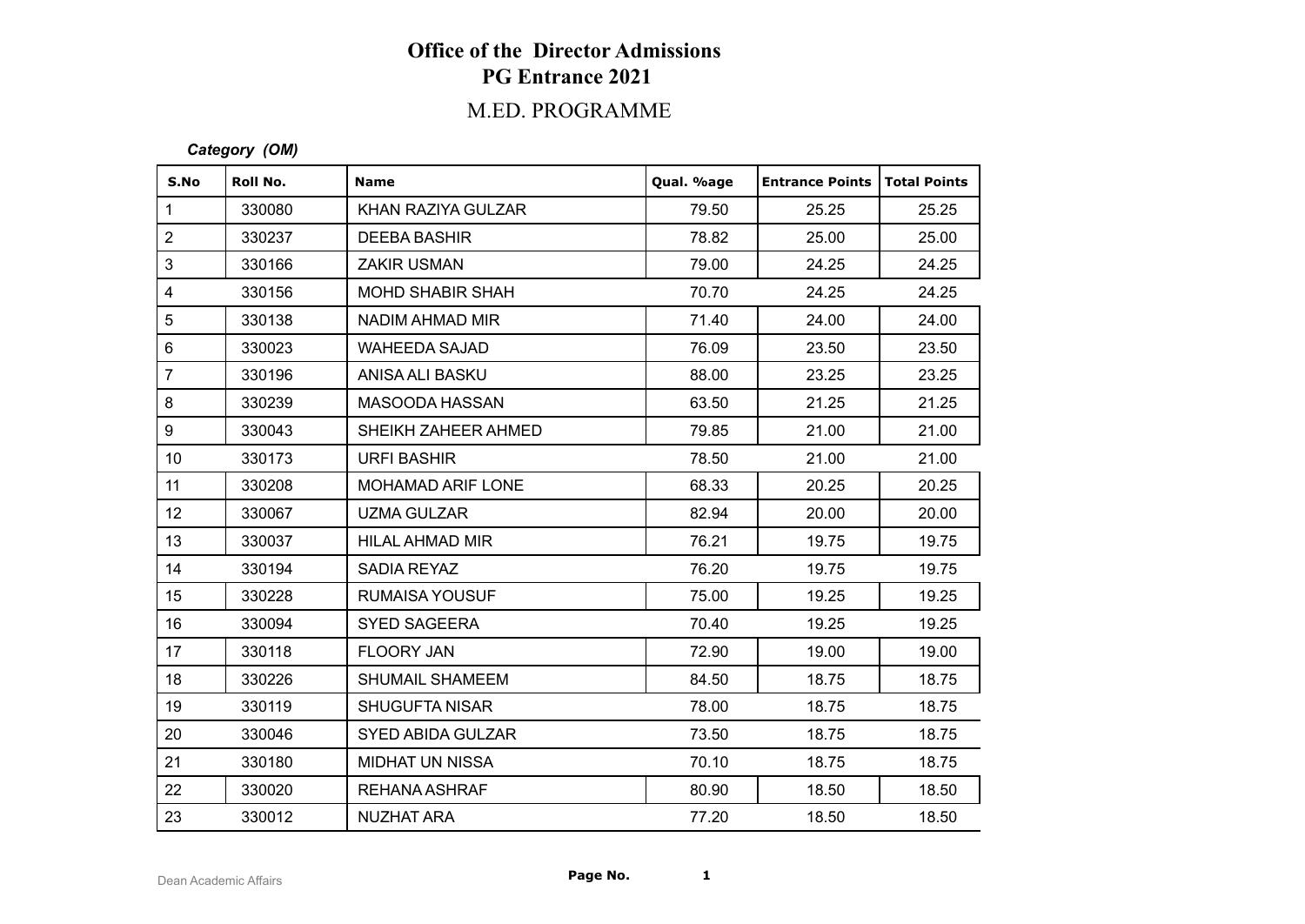# **Office of the Director Admissions PG Entrance 2021**

# M.ED. PROGRAMME

### *Category (OM)*

| S.No             | Roll No. | <b>Name</b>              | Qual. %age | <b>Entrance Points   Total Points</b> |       |
|------------------|----------|--------------------------|------------|---------------------------------------|-------|
| $\mathbf{1}$     | 330080   | KHAN RAZIYA GULZAR       | 79.50      | 25.25                                 | 25.25 |
| $\overline{2}$   | 330237   | <b>DEEBA BASHIR</b>      | 78.82      | 25.00                                 | 25.00 |
| 3                | 330166   | <b>ZAKIR USMAN</b>       | 79.00      | 24.25                                 | 24.25 |
| 4                | 330156   | <b>MOHD SHABIR SHAH</b>  | 70.70      | 24.25                                 | 24.25 |
| 5                | 330138   | NADIM AHMAD MIR          | 71.40      | 24.00                                 | 24.00 |
| 6                | 330023   | <b>WAHEEDA SAJAD</b>     | 76.09      | 23.50                                 | 23.50 |
| $\overline{7}$   | 330196   | ANISA ALI BASKU          | 88.00      | 23.25                                 | 23.25 |
| 8                | 330239   | MASOODA HASSAN           | 63.50      | 21.25                                 | 21.25 |
| 9                | 330043   | SHEIKH ZAHEER AHMED      | 79.85      | 21.00                                 | 21.00 |
| 10 <sup>°</sup>  | 330173   | <b>URFI BASHIR</b>       | 78.50      | 21.00                                 | 21.00 |
| 11               | 330208   | <b>MOHAMAD ARIF LONE</b> | 68.33      | 20.25                                 | 20.25 |
| 12               | 330067   | <b>UZMA GULZAR</b>       | 82.94      | 20.00                                 | 20.00 |
| 13               | 330037   | HILAL AHMAD MIR          | 76.21      | 19.75                                 | 19.75 |
| 14               | 330194   | SADIA REYAZ              | 76.20      | 19.75                                 | 19.75 |
| 15 <sub>15</sub> | 330228   | RUMAISA YOUSUF           | 75.00      | 19.25                                 | 19.25 |
| 16               | 330094   | <b>SYED SAGEERA</b>      | 70.40      | 19.25                                 | 19.25 |
| 17               | 330118   | <b>FLOORY JAN</b>        | 72.90      | 19.00                                 | 19.00 |
| 18               | 330226   | SHUMAIL SHAMEEM          | 84.50      | 18.75                                 | 18.75 |
| 19               | 330119   | <b>SHUGUFTA NISAR</b>    | 78.00      | 18.75                                 | 18.75 |
| 20               | 330046   | <b>SYED ABIDA GULZAR</b> | 73.50      | 18.75                                 | 18.75 |
| 21               | 330180   | <b>MIDHAT UN NISSA</b>   | 70.10      | 18.75                                 | 18.75 |
| 22               | 330020   | REHANA ASHRAF            | 80.90      | 18.50                                 | 18.50 |
| 23               | 330012   | NUZHAT ARA               | 77.20      | 18.50                                 | 18.50 |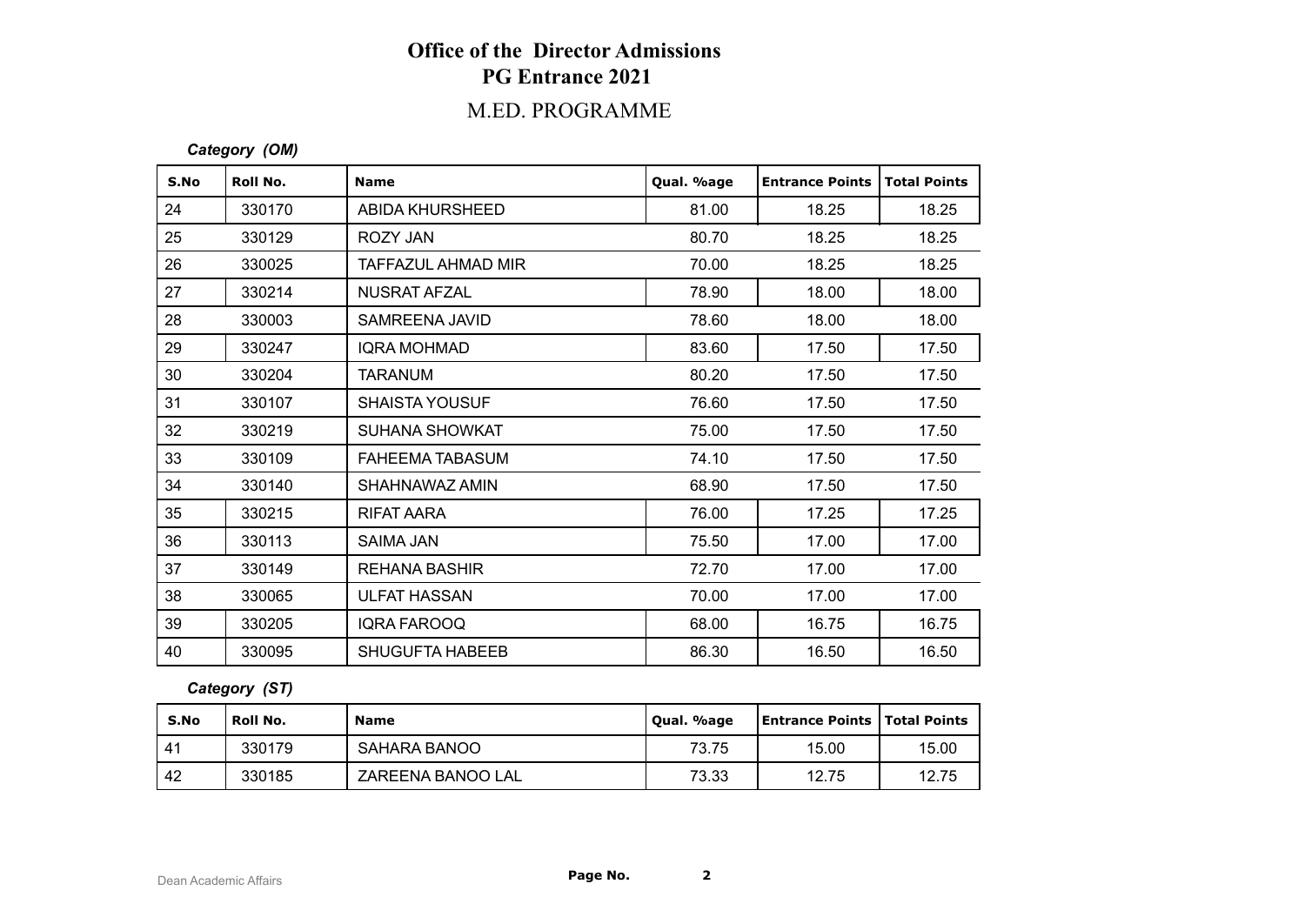# **Office of the Director Admissions PG Entrance 2021**

# M.ED. PROGRAMME

### *Category (OM)*

| S.No | Roll No. | <b>Name</b>            | Qual. %age | <b>Entrance Points</b> | <b>Total Points</b> |
|------|----------|------------------------|------------|------------------------|---------------------|
| 24   | 330170   | ABIDA KHURSHEED        | 81.00      | 18.25                  | 18.25               |
| 25   | 330129   | ROZY JAN               | 80.70      | 18.25                  | 18.25               |
| 26   | 330025   | TAFFAZUL AHMAD MIR     | 70.00      | 18.25                  | 18.25               |
| 27   | 330214   | NUSRAT AFZAL           | 78.90      | 18.00                  | 18.00               |
| 28   | 330003   | SAMREENA JAVID         | 78.60      | 18.00                  | 18.00               |
| 29   | 330247   | <b>IQRA MOHMAD</b>     | 83.60      | 17.50                  | 17.50               |
| 30   | 330204   | TARANUM                | 80.20      | 17.50                  | 17.50               |
| 31   | 330107   | <b>SHAISTA YOUSUF</b>  | 76.60      | 17.50                  | 17.50               |
| 32   | 330219   | SUHANA SHOWKAT         | 75.00      | 17.50                  | 17.50               |
| 33   | 330109   | <b>FAHEEMA TABASUM</b> | 74.10      | 17.50                  | 17.50               |
| 34   | 330140   | SHAHNAWAZ AMIN         | 68.90      | 17.50                  | 17.50               |
| 35   | 330215   | RIFAT AARA             | 76.00      | 17.25                  | 17.25               |
| 36   | 330113   | <b>SAIMA JAN</b>       | 75.50      | 17.00                  | 17.00               |
| 37   | 330149   | <b>REHANA BASHIR</b>   | 72.70      | 17.00                  | 17.00               |
| 38   | 330065   | <b>ULFAT HASSAN</b>    | 70.00      | 17.00                  | 17.00               |
| 39   | 330205   | <b>IQRA FAROOQ</b>     | 68.00      | 16.75                  | 16.75               |
| 40   | 330095   | <b>SHUGUFTA HABEEB</b> | 86.30      | 16.50                  | 16.50               |

## *Category (ST)*

| S.No | Roll No. | <b>Name</b>       | Oual. %age | <b>Entrance Points   Total Points</b> |       |
|------|----------|-------------------|------------|---------------------------------------|-------|
| 41   | 330179   | SAHARA BANOO      | 73.75      | 15.00                                 | 15.00 |
| 42   | 330185   | ZAREENA BANOO LAL | 73.33      | 12.75                                 | 12.75 |